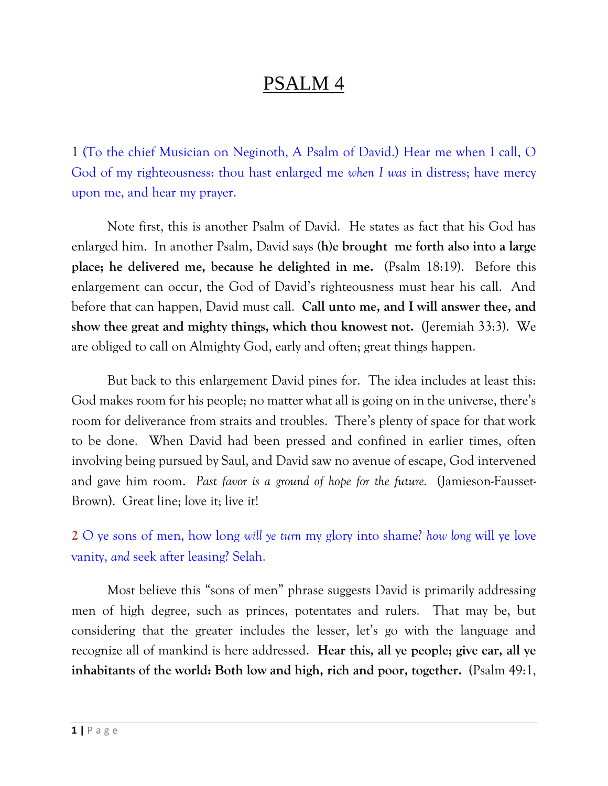## PSALM 4

1 [\(To the chief Musician on Neginoth, A Psalm of David.\)](https://www.kingjamesbibleonline.org/Psalms-4-1/) Hear me when I call, O [God of my righteousness: thou hast enlarged me](https://www.kingjamesbibleonline.org/Psalms-4-1/) *when I was* in distress; have mercy [upon me, and hear my prayer.](https://www.kingjamesbibleonline.org/Psalms-4-1/)

Note first, this is another Psalm of David. He states as fact that his God has enlarged him. In another Psalm, David says **(h)e brought me forth also into a large place; he delivered me, because he delighted in me.** (Psalm 18:19). Before this enlargement can occur, the God of David's righteousness must hear his call. And before that can happen, David must call. **Call unto me, and I will answer thee, and show thee great and mighty things, which thou knowest not.** (Jeremiah 33:3). We are obliged to call on Almighty God, early and often; great things happen.

But back to this enlargement David pines for. The idea includes at least this: God makes room for his people; no matter what all is going on in the universe, there's room for deliverance from straits and troubles. There's plenty of space for that work to be done. When David had been pressed and confined in earlier times, often involving being pursued by Saul, and David saw no avenue of escape, God intervened and gave him room. *Past favor is a ground of hope for the future.* (Jamieson-Fausset-Brown). Great line; love it; live it!

**2** [O ye sons of men, how long](https://www.kingjamesbibleonline.org/Psalms-4-2/) *will ye turn* my glory into shame? *how long* [will ye love](https://www.kingjamesbibleonline.org/Psalms-4-2/)  vanity, *and* [seek after leasing? Selah.](https://www.kingjamesbibleonline.org/Psalms-4-2/)

Most believe this "sons of men" phrase suggests David is primarily addressing men of high degree, such as princes, potentates and rulers. That may be, but considering that the greater includes the lesser, let's go with the language and recognize all of mankind is here addressed. **Hear this, all ye people; give ear, all ye inhabitants of the world: Both low and high, rich and poor, together.** (Psalm 49:1,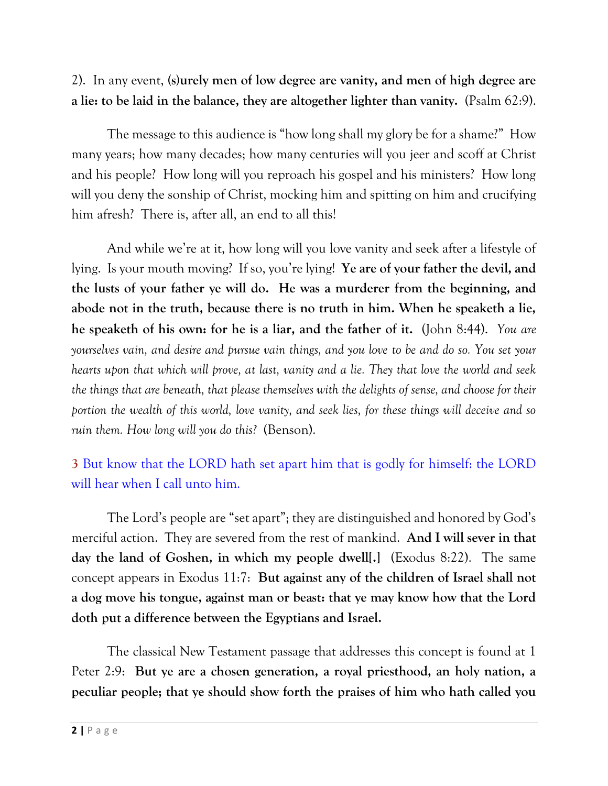#### 2). In any event, **(s)urely men of low degree are vanity, and men of high degree are a lie: to be laid in the balance, they are altogether lighter than vanity.** (Psalm 62:9).

The message to this audience is "how long shall my glory be for a shame?" How many years; how many decades; how many centuries will you jeer and scoff at Christ and his people? How long will you reproach his gospel and his ministers? How long will you deny the sonship of Christ, mocking him and spitting on him and crucifying him afresh? There is, after all, an end to all this!

And while we're at it, how long will you love vanity and seek after a lifestyle of lying. Is your mouth moving? If so, you're lying! **Ye are of your father the devil, and the lusts of your father ye will do. He was a murderer from the beginning, and abode not in the truth, because there is no truth in him. When he speaketh a lie, he speaketh of his own: for he is a liar, and the father of it.** (John 8:44). *You are yourselves vain, and desire and pursue vain things, and you love to be and do so. You set your hearts upon that which will prove, at last, vanity and a lie. They that love the world and seek the things that are beneath, that please themselves with the delights of sense, and choose for their portion the wealth of this world, love vanity, and seek lies, for these things will deceive and so ruin them. How long will you do this?* (Benson).

#### **3** [But know that the LORD hath set apart him that is godly for himself: the LORD](https://www.kingjamesbibleonline.org/Psalms-4-3/)  [will hear when I call unto him.](https://www.kingjamesbibleonline.org/Psalms-4-3/)

The Lord's people are "set apart"; they are distinguished and honored by God's merciful action. They are severed from the rest of mankind. **And I will sever in that day the land of Goshen, in which my people dwell[.]** (Exodus 8:22). The same concept appears in Exodus 11:7: **But against any of the children of Israel shall not a dog move his tongue, against man or beast: that ye may know how that the Lord doth put a difference between the Egyptians and Israel.** 

The classical New Testament passage that addresses this concept is found at 1 Peter 2:9: **But ye are a chosen generation, a royal priesthood, an holy nation, a peculiar people; that ye should show forth the praises of him who hath called you**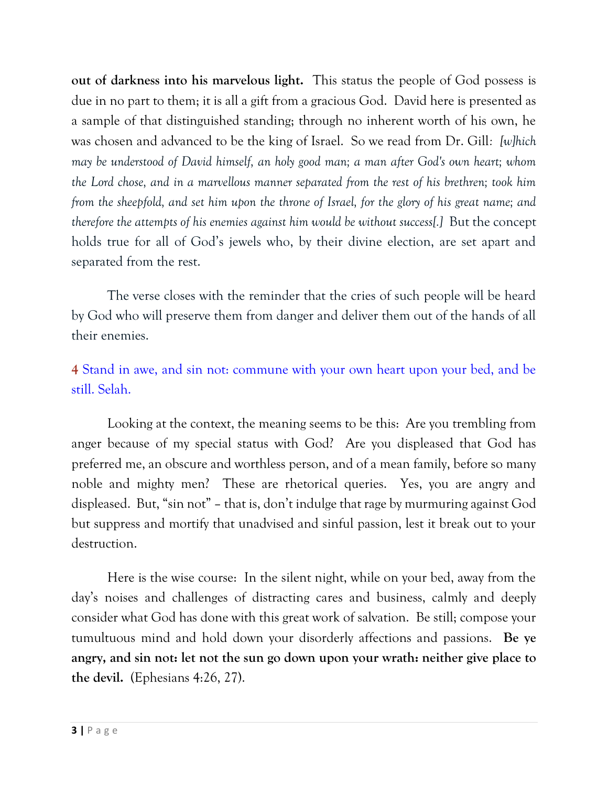**out of darkness into his marvelous light.** This status the people of God possess is due in no part to them; it is all a gift from a gracious God. David here is presented as a sample of that distinguished standing; through no inherent worth of his own, he was chosen and advanced to be the king of Israel. So we read from Dr. Gill*: [w]hich may be understood of David himself, an holy good man; a man after God's own heart; whom the Lord chose, and in a marvellous manner separated from the rest of his brethren; took him from the sheepfold, and set him upon the throne of Israel, for the glory of his great name; and therefore the attempts of his enemies against him would be without success[.]* But the concept holds true for all of God's jewels who, by their divine election, are set apart and separated from the rest.

The verse closes with the reminder that the cries of such people will be heard by God who will preserve them from danger and deliver them out of the hands of all their enemies.

#### **4** [Stand in awe, and sin not: commune with your own heart upon your bed, and be](https://www.kingjamesbibleonline.org/Psalms-4-4/)  [still. Selah.](https://www.kingjamesbibleonline.org/Psalms-4-4/)

Looking at the context, the meaning seems to be this: Are you trembling from anger because of my special status with God? Are you displeased that God has preferred me, an obscure and worthless person, and of a mean family, before so many noble and mighty men? These are rhetorical queries. Yes, you are angry and displeased. But, "sin not" – that is, don't indulge that rage by murmuring against God but suppress and mortify that unadvised and sinful passion, lest it break out to your destruction.

Here is the wise course: In the silent night, while on your bed, away from the day's noises and challenges of distracting cares and business, calmly and deeply consider what God has done with this great work of salvation. Be still; compose your tumultuous mind and hold down your disorderly affections and passions. **Be ye angry, and sin not: let not the sun go down upon your wrath: neither give place to the devil.** (Ephesians 4:26, 27).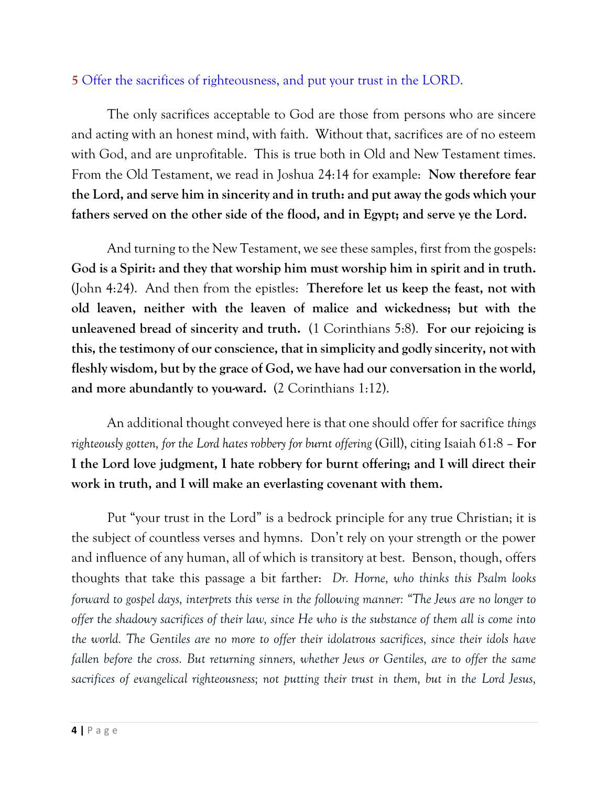#### **[5](https://www.kingjamesbibleonline.org/Psalms-4-5/)** [Offer the sacrifices of righteousness, and put your trust in the LORD.](https://www.kingjamesbibleonline.org/Psalms-4-5/)

The only sacrifices acceptable to God are those from persons who are sincere and acting with an honest mind, with faith. Without that, sacrifices are of no esteem with God, and are unprofitable. This is true both in Old and New Testament times. From the Old Testament, we read in Joshua 24:14 for example: **Now therefore fear the Lord, and serve him in sincerity and in truth: and put away the gods which your fathers served on the other side of the flood, and in Egypt; and serve ye the Lord.** 

And turning to the New Testament, we see these samples, first from the gospels: **God is a Spirit: and they that worship him must worship him in spirit and in truth.**  (John 4:24). And then from the epistles: **Therefore let us keep the feast, not with old leaven, neither with the leaven of malice and wickedness; but with the unleavened bread of sincerity and truth.** (1 Corinthians 5:8). **For our rejoicing is this, the testimony of our conscience, that in simplicity and godly sincerity, not with fleshly wisdom, but by the grace of God, we have had our conversation in the world, and more abundantly to you-ward.** (2 Corinthians 1:12).

An additional thought conveyed here is that one should offer for sacrifice *things righteously gotten, for the Lord hates robbery for burnt offering* (Gill), citing Isaiah 61:8 – **For I the Lord love judgment, I hate robbery for burnt offering; and I will direct their work in truth, and I will make an everlasting covenant with them.** 

Put "your trust in the Lord" is a bedrock principle for any true Christian; it is the subject of countless verses and hymns. Don't rely on your strength or the power and influence of any human, all of which is transitory at best. Benson, though, offers thoughts that take this passage a bit farther: *Dr. Horne, who thinks this Psalm looks forward to gospel days, interprets this verse in the following manner: "The Jews are no longer to offer the shadowy sacrifices of their law, since He who is the substance of them all is come into the world. The Gentiles are no more to offer their idolatrous sacrifices, since their idols have fallen before the cross. But returning sinners, whether Jews or Gentiles, are to offer the same sacrifices of evangelical righteousness; not putting their trust in them, but in the Lord Jesus,*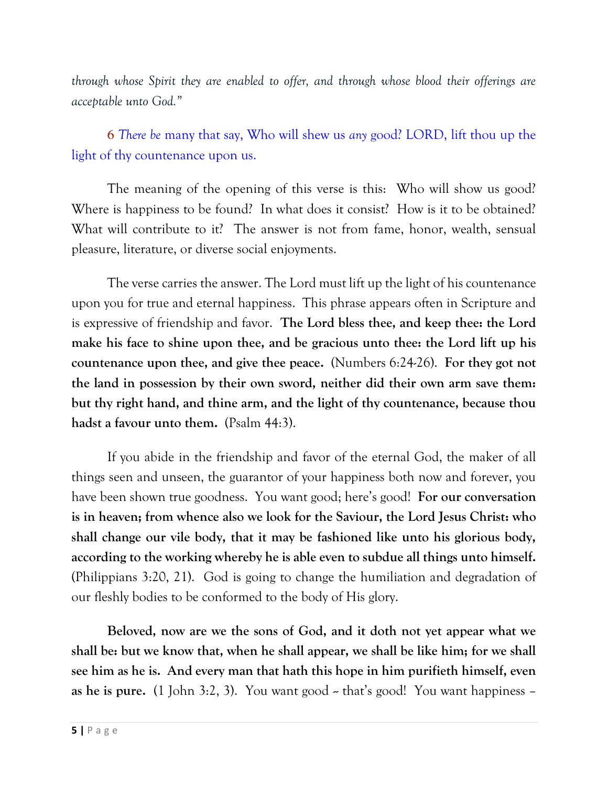*through whose Spirit they are enabled to offer, and through whose blood their offerings are acceptable unto God."*

**6** *There be* [many that say, Who will shew us](https://www.kingjamesbibleonline.org/Psalms-4-6/) *any* [good? LORD, lift thou up the](https://www.kingjamesbibleonline.org/Psalms-4-6/)  [light of thy countenance upon us.](https://www.kingjamesbibleonline.org/Psalms-4-6/)

The meaning of the opening of this verse is this: Who will show us good? Where is happiness to be found? In what does it consist? How is it to be obtained? What will contribute to it? The answer is not from fame, honor, wealth, sensual pleasure, literature, or diverse social enjoyments.

The verse carries the answer. The Lord must lift up the light of his countenance upon you for true and eternal happiness. This phrase appears often in Scripture and is expressive of friendship and favor. **The Lord bless thee, and keep thee: the Lord make his face to shine upon thee, and be gracious unto thee: the Lord lift up his countenance upon thee, and give thee peace.** (Numbers 6:24-26). **For they got not the land in possession by their own sword, neither did their own arm save them: but thy right hand, and thine arm, and the light of thy countenance, because thou hadst a favour unto them.** (Psalm 44:3).

If you abide in the friendship and favor of the eternal God, the maker of all things seen and unseen, the guarantor of your happiness both now and forever, you have been shown true goodness. You want good; here's good! **For our conversation is in heaven; from whence also we look for the Saviour, the Lord Jesus Christ: who shall change our vile body, that it may be fashioned like unto his glorious body, according to the working whereby he is able even to subdue all things unto himself.**  (Philippians 3:20, 21). God is going to change the humiliation and degradation of our fleshly bodies to be conformed to the body of His glory.

**Beloved, now are we the sons of God, and it doth not yet appear what we shall be: but we know that, when he shall appear, we shall be like him; for we shall see him as he is. And every man that hath this hope in him purifieth himself, even**  as he is pure.  $(1 \text{ John } 3:2, 3)$ . You want good  $\sim$  that's good! You want happiness –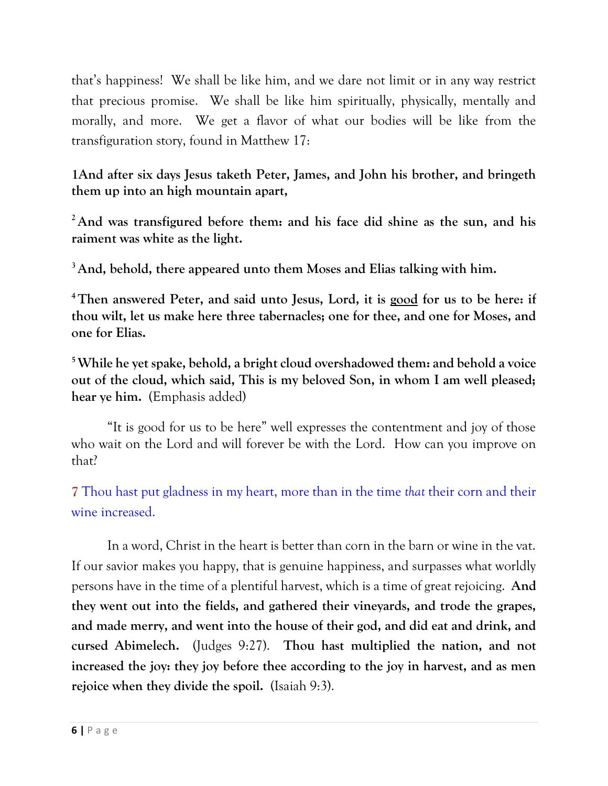that's happiness! We shall be like him, and we dare not limit or in any way restrict that precious promise. We shall be like him spiritually, physically, mentally and morally, and more. We get a flavor of what our bodies will be like from the transfiguration story, found in Matthew 17:

**1And after six days Jesus taketh Peter, James, and John his brother, and bringeth them up into an high mountain apart,**

**<sup>2</sup>And was transfigured before them: and his face did shine as the sun, and his raiment was white as the light.**

**<sup>3</sup>And, behold, there appeared unto them Moses and Elias talking with him.**

**<sup>4</sup>Then answered Peter, and said unto Jesus, Lord, it is good for us to be here: if thou wilt, let us make here three tabernacles; one for thee, and one for Moses, and one for Elias.**

**<sup>5</sup>While he yet spake, behold, a bright cloud overshadowed them: and behold a voice out of the cloud, which said, This is my beloved Son, in whom I am well pleased; hear ye him.** (Emphasis added)

"It is good for us to be here" well expresses the contentment and joy of those who wait on the Lord and will forever be with the Lord. How can you improve on that?

**7** [Thou hast put gladness in my heart, more than in the time](https://www.kingjamesbibleonline.org/Psalms-4-7/) *that* [their corn and their](https://www.kingjamesbibleonline.org/Psalms-4-7/)  [wine increased.](https://www.kingjamesbibleonline.org/Psalms-4-7/)

In a word, Christ in the heart is better than corn in the barn or wine in the vat. If our savior makes you happy, that is genuine happiness, and surpasses what worldly persons have in the time of a plentiful harvest, which is a time of great rejoicing. **And they went out into the fields, and gathered their vineyards, and trode the grapes, and made merry, and went into the house of their god, and did eat and drink, and cursed Abimelech.** (Judges 9:27). **Thou hast multiplied the nation, and not increased the joy: they joy before thee according to the joy in harvest, and as men rejoice when they divide the spoil.** (Isaiah 9:3).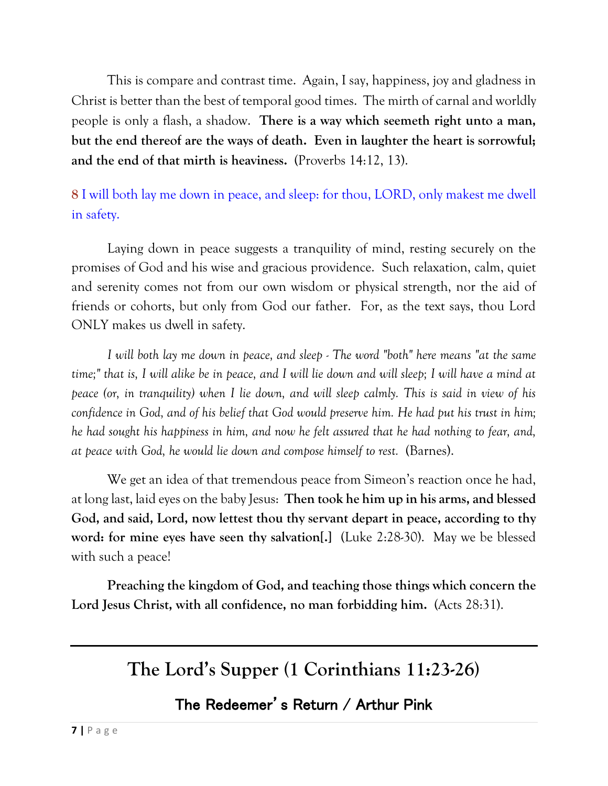This is compare and contrast time. Again, I say, happiness, joy and gladness in Christ is better than the best of temporal good times. The mirth of carnal and worldly people is only a flash, a shadow. **There is a way which seemeth right unto a man, but the end thereof are the ways of death. Even in laughter the heart is sorrowful; and the end of that mirth is heaviness.** (Proverbs 14:12, 13).

**8** I will both lay me down in [peace, and sleep: for thou, LORD, only makest me dwell](https://www.kingjamesbibleonline.org/Psalms-4-8/)  [in safety.](https://www.kingjamesbibleonline.org/Psalms-4-8/)

Laying down in peace suggests a tranquility of mind, resting securely on the promises of God and his wise and gracious providence. Such relaxation, calm, quiet and serenity comes not from our own wisdom or physical strength, nor the aid of friends or cohorts, but only from God our father. For, as the text says, thou Lord ONLY makes us dwell in safety.

*I will both lay me down in peace, and sleep - The word "both" here means "at the same time;" that is, I will alike be in peace, and I will lie down and will sleep; I will have a mind at peace (or, in tranquility) when I lie down, and will sleep calmly. This is said in view of his confidence in God, and of his belief that God would preserve him. He had put his trust in him; he had sought his happiness in him, and now he felt assured that he had nothing to fear, and, at peace with God, he would lie down and compose himself to rest.* (Barnes).

We get an idea of that tremendous peace from Simeon's reaction once he had, at long last, laid eyes on the baby Jesus: **Then took he him up in his arms, and blessed God, and said, Lord, now lettest thou thy servant depart in peace, according to thy word: for mine eyes have seen thy salvation[.]** (Luke 2:28-30). May we be blessed with such a peace!

**Preaching the kingdom of God, and teaching those things which concern the Lord Jesus Christ, with all confidence, no man forbidding him.** (Acts 28:31).

# **The Lord's Supper (1 Corinthians 11:23-26)**

### The Redeemer's Return / Arthur Pink